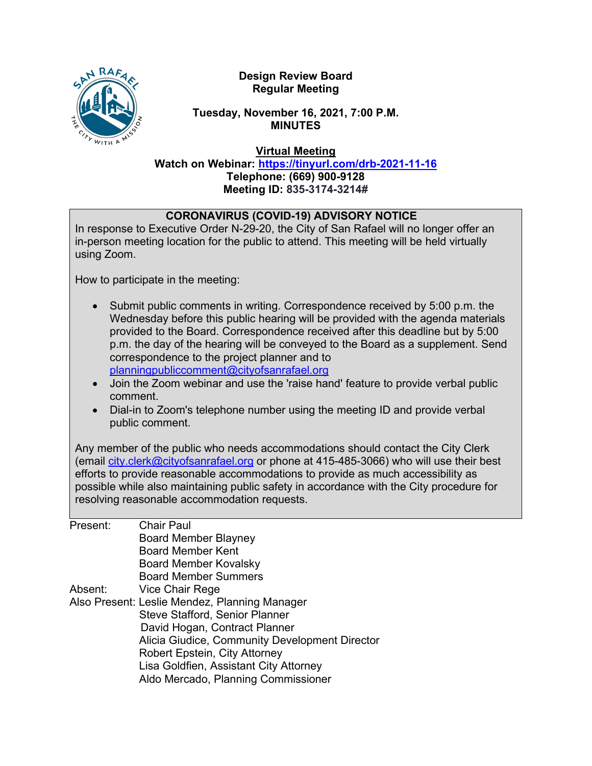N RAFA WITH A

### **Design Review Board Regular Meeting**

### **Tuesday, November 16, 2021, 7:00 P.M. MINUTES**

**Virtual Meeting**

**Watch on Webinar: <https://tinyurl.com/drb-2021-11-16> Telephone: (669) 900-9128 Meeting ID: 835-3174-3214#**

| <b>CORONAVIRUS (COVID-19) ADVISORY NOTICE</b><br>In response to Executive Order N-29-20, the City of San Rafael will no longer offer an<br>in-person meeting location for the public to attend. This meeting will be held virtually<br>using Zoom.                                                                                                                                                                                                                                                                                                                                                                         |                                                                                                                                                                                                                                                                                                                                                                                                                                                        |
|----------------------------------------------------------------------------------------------------------------------------------------------------------------------------------------------------------------------------------------------------------------------------------------------------------------------------------------------------------------------------------------------------------------------------------------------------------------------------------------------------------------------------------------------------------------------------------------------------------------------------|--------------------------------------------------------------------------------------------------------------------------------------------------------------------------------------------------------------------------------------------------------------------------------------------------------------------------------------------------------------------------------------------------------------------------------------------------------|
| How to participate in the meeting:                                                                                                                                                                                                                                                                                                                                                                                                                                                                                                                                                                                         |                                                                                                                                                                                                                                                                                                                                                                                                                                                        |
| Submit public comments in writing. Correspondence received by 5:00 p.m. the<br>Wednesday before this public hearing will be provided with the agenda materials<br>provided to the Board. Correspondence received after this deadline but by 5:00<br>p.m. the day of the hearing will be conveyed to the Board as a supplement. Send<br>correspondence to the project planner and to<br>planningpubliccomment@cityofsanrafael.org<br>Join the Zoom webinar and use the 'raise hand' feature to provide verbal public<br>comment.<br>Dial-in to Zoom's telephone number using the meeting ID and provide verbal<br>$\bullet$ |                                                                                                                                                                                                                                                                                                                                                                                                                                                        |
| public comment.                                                                                                                                                                                                                                                                                                                                                                                                                                                                                                                                                                                                            |                                                                                                                                                                                                                                                                                                                                                                                                                                                        |
|                                                                                                                                                                                                                                                                                                                                                                                                                                                                                                                                                                                                                            | Any member of the public who needs accommodations should contact the City Clerk<br>(email city.clerk@cityofsanrafael.org or phone at 415-485-3066) who will use their best<br>efforts to provide reasonable accommodations to provide as much accessibility as<br>possible while also maintaining public safety in accordance with the City procedure for<br>resolving reasonable accommodation requests.                                              |
| Present:<br>Absent:                                                                                                                                                                                                                                                                                                                                                                                                                                                                                                                                                                                                        | <b>Chair Paul</b><br><b>Board Member Blayney</b><br><b>Board Member Kent</b><br><b>Board Member Kovalsky</b><br><b>Board Member Summers</b><br>Vice Chair Rege<br>Also Present: Leslie Mendez, Planning Manager<br>Steve Stafford, Senior Planner<br>David Hogan, Contract Planner<br>Alicia Giudice, Community Development Director<br>Robert Epstein, City Attorney<br>Lisa Goldfien, Assistant City Attorney<br>Aldo Mercado, Planning Commissioner |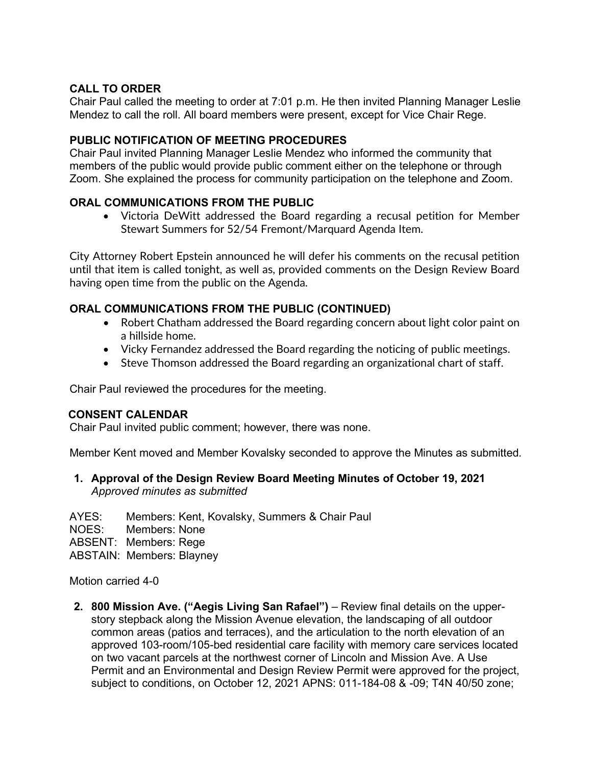### **CALL TO ORDER**

Chair Paul called the meeting to order at 7:01 p.m. He then invited Planning Manager Leslie Mendez to call the roll. All board members were present, except for Vice Chair Rege.

### **PUBLIC NOTIFICATION OF MEETING PROCEDURES**

Chair Paul invited Planning Manager Leslie Mendez who informed the community that members of the public would provide public comment either on the telephone or through Zoom. She explained the process for community participation on the telephone and Zoom.

## **ORAL COMMUNICATIONS FROM THE PUBLIC**

• Victoria DeWitt addressed the Board regarding a recusal petition for Member Stewart Summers for 52/54 Fremont/Marquard Agenda Item.

City Attorney Robert Epstein announced he will defer his comments on the recusal petition until that item is called tonight, as well as, provided comments on the Design Review Board having open time from the public on the Agenda.

# **ORAL COMMUNICATIONS FROM THE PUBLIC (CONTINUED)**

- Robert Chatham addressed the Board regarding concern about light color paint on a hillside home.
- Vicky Fernandez addressed the Board regarding the noticing of public meetings.
- Steve Thomson addressed the Board regarding an organizational chart of staff.

Chair Paul reviewed the procedures for the meeting.

### **CONSENT CALENDAR**

Chair Paul invited public comment; however, there was none.

Member Kent moved and Member Kovalsky seconded to approve the Minutes as submitted*.* 

**1. Approval of the Design Review Board Meeting Minutes of October 19, 2021** *Approved minutes as submitted*

AYES: Members: Kent, Kovalsky, Summers & Chair Paul NOES: Members: None ABSENT: Members: Rege ABSTAIN: Members: Blayney

Motion carried 4-0

**2. 800 Mission Ave. ("Aegis Living San Rafael")** – Review final details on the upperstory stepback along the Mission Avenue elevation, the landscaping of all outdoor common areas (patios and terraces), and the articulation to the north elevation of an approved 103-room/105-bed residential care facility with memory care services located on two vacant parcels at the northwest corner of Lincoln and Mission Ave. A Use Permit and an Environmental and Design Review Permit were approved for the project, subject to conditions, on October 12, 2021 APNS: 011-184-08 & -09; T4N 40/50 zone;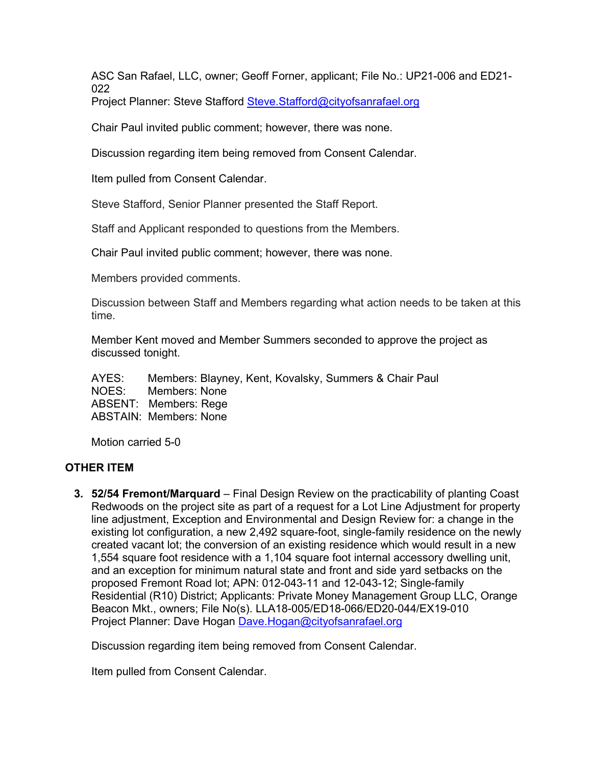ASC San Rafael, LLC, owner; Geoff Forner, applicant; File No.: UP21-006 and ED21- 022

Project Planner: Steve Stafford [Steve.Stafford@cityofsanrafael.org](mailto:Steve.Stafford@cityofsanrafael.org)

Chair Paul invited public comment; however, there was none.

Discussion regarding item being removed from Consent Calendar.

Item pulled from Consent Calendar.

Steve Stafford, Senior Planner presented the Staff Report.

Staff and Applicant responded to questions from the Members.

Chair Paul invited public comment; however, there was none.

Members provided comments.

Discussion between Staff and Members regarding what action needs to be taken at this time.

Member Kent moved and Member Summers seconded to approve the project as discussed tonight.

AYES: Members: Blayney, Kent, Kovalsky, Summers & Chair Paul NOES: Members: None ABSENT: Members: Rege ABSTAIN: Members: None

Motion carried 5-0

### **OTHER ITEM**

**3. 52/54 Fremont/Marquard** – Final Design Review on the practicability of planting Coast Redwoods on the project site as part of a request for a Lot Line Adjustment for property line adjustment, Exception and Environmental and Design Review for: a change in the existing lot configuration, a new 2,492 square-foot, single-family residence on the newly created vacant lot; the conversion of an existing residence which would result in a new 1,554 square foot residence with a 1,104 square foot internal accessory dwelling unit, and an exception for minimum natural state and front and side yard setbacks on the proposed Fremont Road lot; APN: 012-043-11 and 12-043-12; Single-family Residential (R10) District; Applicants: Private Money Management Group LLC, Orange Beacon Mkt., owners; File No(s). LLA18-005/ED18-066/ED20-044/EX19-010 Project Planner: Dave Hogan [Dave.Hogan@cityofsanrafael.org](mailto:Dave.Hogan@cityofsanrafael.org)

Discussion regarding item being removed from Consent Calendar.

Item pulled from Consent Calendar.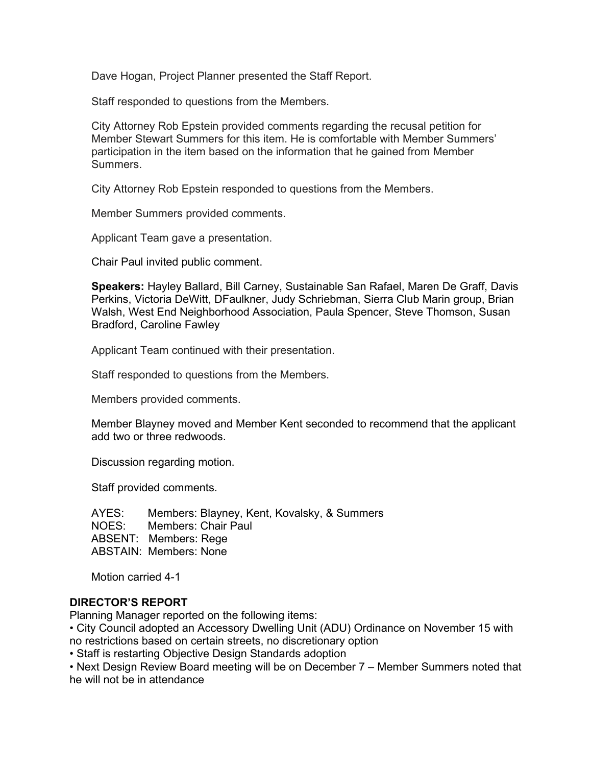Dave Hogan, Project Planner presented the Staff Report.

Staff responded to questions from the Members.

City Attorney Rob Epstein provided comments regarding the recusal petition for Member Stewart Summers for this item. He is comfortable with Member Summers' participation in the item based on the information that he gained from Member Summers.

City Attorney Rob Epstein responded to questions from the Members.

Member Summers provided comments.

Applicant Team gave a presentation.

Chair Paul invited public comment.

**Speakers:** Hayley Ballard, Bill Carney, Sustainable San Rafael, Maren De Graff, Davis Perkins, Victoria DeWitt, DFaulkner, Judy Schriebman, Sierra Club Marin group, Brian Walsh, West End Neighborhood Association, Paula Spencer, Steve Thomson, Susan Bradford, Caroline Fawley

Applicant Team continued with their presentation.

Staff responded to questions from the Members.

Members provided comments.

Member Blayney moved and Member Kent seconded to recommend that the applicant add two or three redwoods.

Discussion regarding motion.

Staff provided comments.

AYES: Members: Blayney, Kent, Kovalsky, & Summers NOES: Members: Chair Paul ABSENT: Members: Rege ABSTAIN: Members: None

Motion carried 4-1

#### **DIRECTOR'S REPORT**

Planning Manager reported on the following items:

• City Council adopted an Accessory Dwelling Unit (ADU) Ordinance on November 15 with no restrictions based on certain streets, no discretionary option

• Staff is restarting Objective Design Standards adoption

• Next Design Review Board meeting will be on December 7 – Member Summers noted that he will not be in attendance